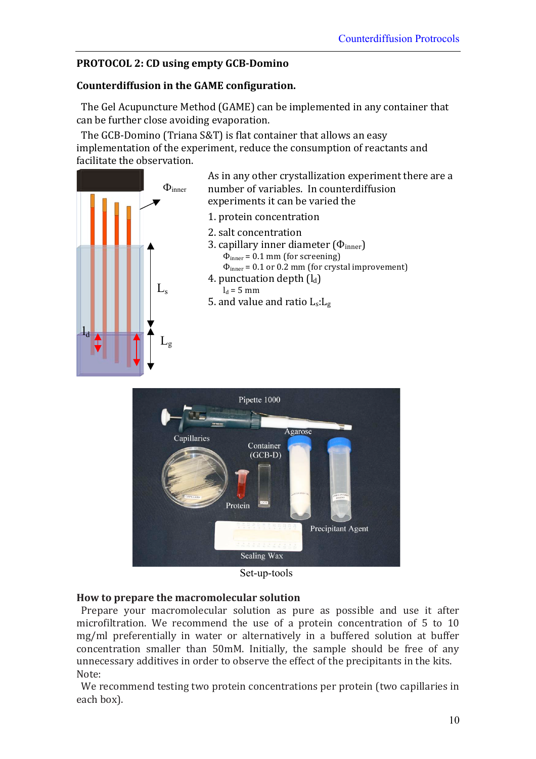# **PROTOCOL 2: CD using empty GCB-Domino**

## **Counterdiffusion'in'the'GAME'configuration.**

The Gel Acupuncture Method (GAME) can be implemented in any container that can be further close avoiding evaporation.

The GCB-Domino (Triana S&T) is flat container that allows an easy implementation of the experiment, reduce the consumption of reactants and facilitate the observation.





Set-up-tools

### **How'to'prepare'the'macromolecular'solution**

Prepare your macromolecular solution as pure as possible and use it after microfiltration. We recommend the use of a protein concentration of 5 to 10 mg/ml preferentially in water or alternatively in a buffered solution at buffer concentration smaller than 50mM. Initially, the sample should be free of any unnecessary additives in order to observe the effect of the precipitants in the kits. Note:

We recommend testing two protein concentrations per protein (two capillaries in each box).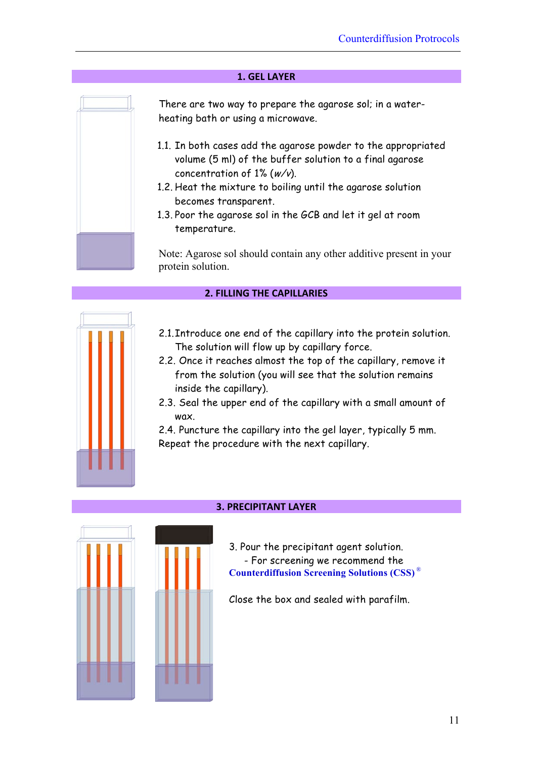# **1.#GEL#LAYER**



There are two way to prepare the agarose sol; in a waterheating bath or using a microwave.

- 1.1. In both cases add the agarose powder to the appropriated volume (5 ml) of the buffer solution to a final agarose concentration of  $1\%$  ( $w/v$ ).
- 1.2. Heat the mixture to boiling until the agarose solution becomes transparent.
- 1.3. Poor the agarose sol in the GCB and let it gel at room temperature.

Note: Agarose sol should contain any other additive present in your protein solution.

### **2. FILLING THE CAPILLARIES**

- 2.1.Introduce one end of the capillary into the protein solution. The solution will flow up by capillary force.
- 2.2. Once it reaches almost the top of the capillary, remove it from the solution (you will see that the solution remains inside the capillary).
- 2.3. Seal the upper end of the capillary with a small amount of wax.
- 2.4. Puncture the capillary into the gel layer, typically 5 mm.
- Repeat the procedure with the next capillary.



### **3. PRECIPITANT LAYER**

3. Pour the precipitant agent solution. - For screening we recommend the **Counterdiffusion Screening Solutions (CSS)** ®

Close the box and sealed with parafilm.